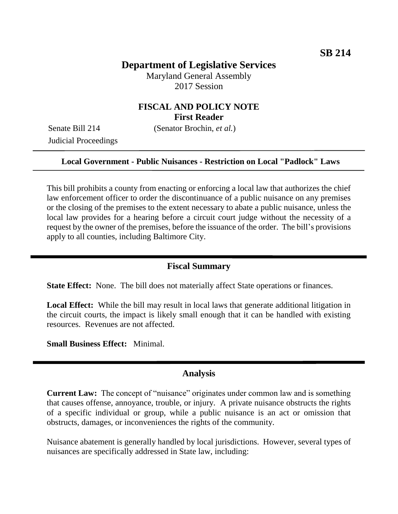# **Department of Legislative Services**

Maryland General Assembly 2017 Session

## **FISCAL AND POLICY NOTE First Reader**

Judicial Proceedings

Senate Bill 214 (Senator Brochin, *et al.*)

#### **Local Government - Public Nuisances - Restriction on Local "Padlock" Laws**

This bill prohibits a county from enacting or enforcing a local law that authorizes the chief law enforcement officer to order the discontinuance of a public nuisance on any premises or the closing of the premises to the extent necessary to abate a public nuisance, unless the local law provides for a hearing before a circuit court judge without the necessity of a request by the owner of the premises, before the issuance of the order. The bill's provisions apply to all counties, including Baltimore City.

#### **Fiscal Summary**

**State Effect:** None. The bill does not materially affect State operations or finances.

**Local Effect:** While the bill may result in local laws that generate additional litigation in the circuit courts, the impact is likely small enough that it can be handled with existing resources. Revenues are not affected.

**Small Business Effect:** Minimal.

#### **Analysis**

**Current Law:** The concept of "nuisance" originates under common law and is something that causes offense, annoyance, trouble, or injury. A private nuisance obstructs the rights of a specific individual or group, while a public nuisance is an act or omission that obstructs, damages, or inconveniences the rights of the community.

Nuisance abatement is generally handled by local jurisdictions. However, several types of nuisances are specifically addressed in State law, including: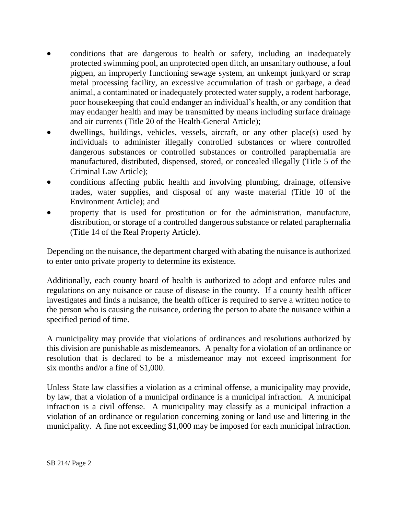- conditions that are dangerous to health or safety, including an inadequately protected swimming pool, an unprotected open ditch, an unsanitary outhouse, a foul pigpen, an improperly functioning sewage system, an unkempt junkyard or scrap metal processing facility, an excessive accumulation of trash or garbage, a dead animal, a contaminated or inadequately protected water supply, a rodent harborage, poor housekeeping that could endanger an individual's health, or any condition that may endanger health and may be transmitted by means including surface drainage and air currents (Title 20 of the Health-General Article);
- dwellings, buildings, vehicles, vessels, aircraft, or any other place(s) used by individuals to administer illegally controlled substances or where controlled dangerous substances or controlled substances or controlled paraphernalia are manufactured, distributed, dispensed, stored, or concealed illegally (Title 5 of the Criminal Law Article);
- conditions affecting public health and involving plumbing, drainage, offensive trades, water supplies, and disposal of any waste material (Title 10 of the Environment Article); and
- property that is used for prostitution or for the administration, manufacture, distribution, or storage of a controlled dangerous substance or related paraphernalia (Title 14 of the Real Property Article).

Depending on the nuisance, the department charged with abating the nuisance is authorized to enter onto private property to determine its existence.

Additionally, each county board of health is authorized to adopt and enforce rules and regulations on any nuisance or cause of disease in the county. If a county health officer investigates and finds a nuisance, the health officer is required to serve a written notice to the person who is causing the nuisance, ordering the person to abate the nuisance within a specified period of time.

A municipality may provide that violations of ordinances and resolutions authorized by this division are punishable as misdemeanors. A penalty for a violation of an ordinance or resolution that is declared to be a misdemeanor may not exceed imprisonment for six months and/or a fine of \$1,000.

Unless State law classifies a violation as a criminal offense, a municipality may provide, by law, that a violation of a municipal ordinance is a municipal infraction. A municipal infraction is a civil offense. A municipality may classify as a municipal infraction a violation of an ordinance or regulation concerning zoning or land use and littering in the municipality. A fine not exceeding \$1,000 may be imposed for each municipal infraction.